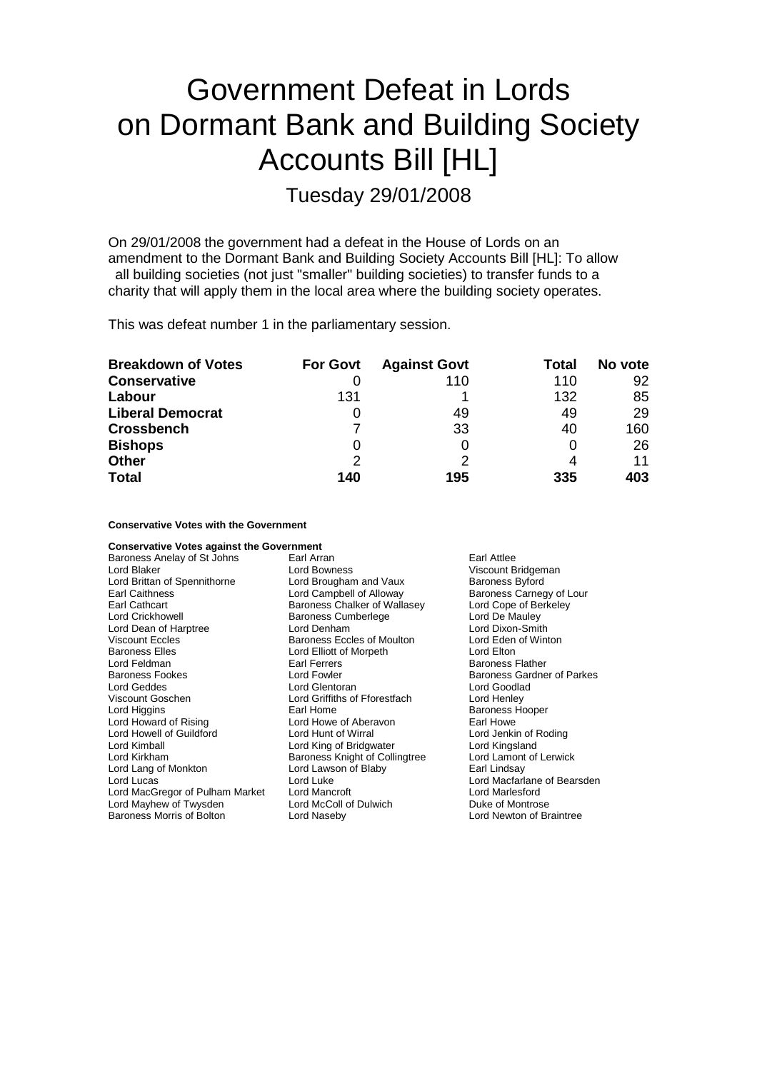## Government Defeat in Lords on Dormant Bank and Building Society Accounts Bill [HL]

Tuesday 29/01/2008

On 29/01/2008 the government had a defeat in the House of Lords on an amendment to the Dormant Bank and Building Society Accounts Bill [HL]: To allow all building societies (not just "smaller" building societies) to transfer funds to a charity that will apply them in the local area where the building society operates.

This was defeat number 1 in the parliamentary session.

| <b>Breakdown of Votes</b> | <b>For Govt</b> | <b>Against Govt</b> | Total | No vote |
|---------------------------|-----------------|---------------------|-------|---------|
| <b>Conservative</b>       |                 | 110                 | 110   | 92      |
| Labour                    | 131             |                     | 132   | 85      |
| <b>Liberal Democrat</b>   |                 | 49                  | 49    | 29      |
| <b>Crossbench</b>         |                 | 33                  | 40    | 160     |
| <b>Bishops</b>            | 0               |                     |       | 26      |
| <b>Other</b>              | $\mathcal{P}$   | っ                   |       | 11      |
| <b>Total</b>              | 140             | 195                 | 335   | 403     |

**Conservative Votes with the Government**

| <b>Conservative Votes against the Government</b> |                                |                                   |
|--------------------------------------------------|--------------------------------|-----------------------------------|
| Baroness Anelay of St Johns                      | Earl Arran                     | Earl Attlee                       |
| Lord Blaker                                      | <b>Lord Bowness</b>            | Viscount Bridgeman                |
| Lord Brittan of Spennithorne                     | Lord Brougham and Vaux         | <b>Baroness Byford</b>            |
| Earl Caithness                                   | Lord Campbell of Alloway       | Baroness Carnegy of Lour          |
| Earl Cathcart                                    | Baroness Chalker of Wallasey   | Lord Cope of Berkeley             |
| Lord Crickhowell                                 | Baroness Cumberlege            | Lord De Mauley                    |
| Lord Dean of Harptree                            | Lord Denham                    | Lord Dixon-Smith                  |
| <b>Viscount Eccles</b>                           | Baroness Eccles of Moulton     | Lord Eden of Winton               |
| <b>Baroness Elles</b>                            | Lord Elliott of Morpeth        | Lord Elton                        |
| Lord Feldman                                     | <b>Earl Ferrers</b>            | <b>Baroness Flather</b>           |
| <b>Baroness Fookes</b>                           | Lord Fowler                    | <b>Baroness Gardner of Parkes</b> |
| Lord Geddes                                      | Lord Glentoran                 | Lord Goodlad                      |
| Viscount Goschen                                 | Lord Griffiths of Fforestfach  | Lord Henley                       |
| Lord Higgins                                     | Earl Home                      | <b>Baroness Hooper</b>            |
| Lord Howard of Rising                            | Lord Howe of Aberavon          | Earl Howe                         |
| Lord Howell of Guildford                         | Lord Hunt of Wirral            | Lord Jenkin of Roding             |
| Lord Kimball                                     | Lord King of Bridgwater        | Lord Kingsland                    |
| Lord Kirkham                                     | Baroness Knight of Collingtree | Lord Lamont of Lerwick            |
| Lord Lang of Monkton                             | Lord Lawson of Blaby           | Earl Lindsay                      |
| Lord Lucas                                       | Lord Luke                      | Lord Macfarlane of Bearsden       |
| Lord MacGregor of Pulham Market                  | Lord Mancroft                  | Lord Marlesford                   |
| Lord Mayhew of Twysden                           | Lord McColl of Dulwich         | Duke of Montrose                  |
| Baroness Morris of Bolton                        | Lord Naseby                    | Lord Newton of Braintree          |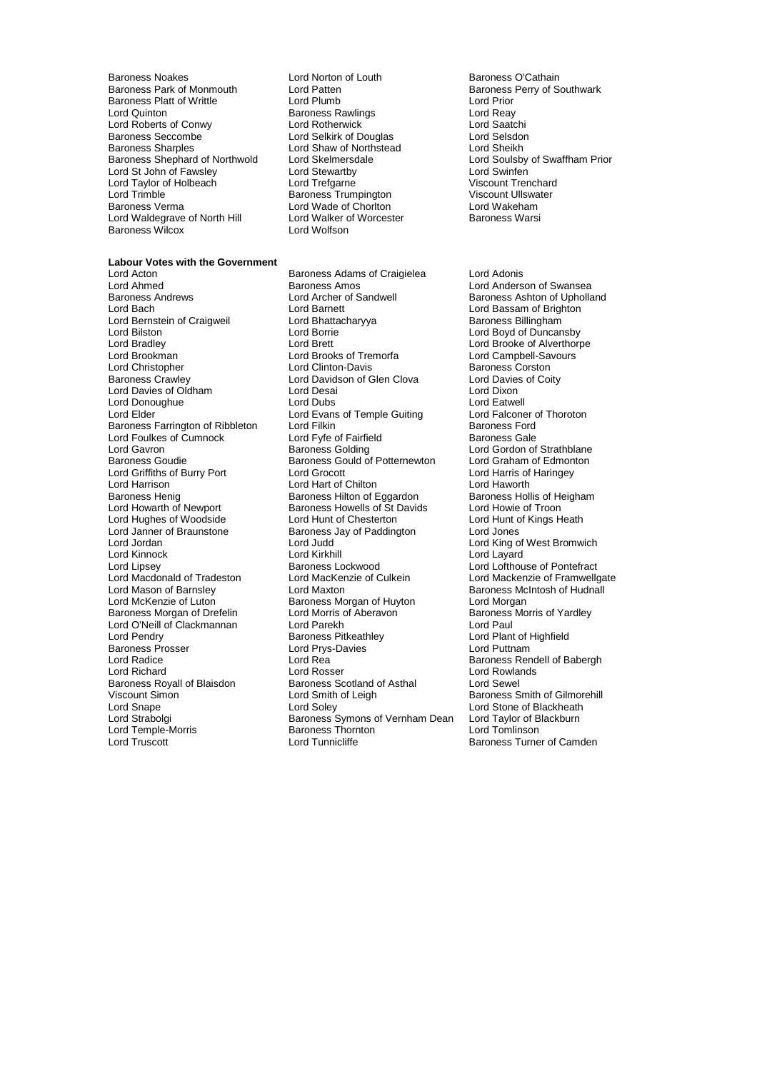Baroness Noakes **Lord Norton of Louth** Baroness O'Cathain<br>Baroness Park of Monmouth Lord Patten **Baroness Park Communisty** Core extempt Baroness Platt of Writtle **Lord Lord Prior**<br>
Lord Quinton Lord Reav<br>
Lord Quinton **Lord Reav**<br>
Lord Reav Lord Quinton **Baroness Rawlings** Cord Reay<br>
Lord Roberts of Conwy **Lord Rotherwick** Cord Rotherwick **Lord Saatchi** Lord Roberts of Conwy Lord Rotherwick Lord Saatchi Baroness Seccombe Lord Selkirk of Douglas Lord Selsdon Baroness Shephard of Northwold Lord Skelmersdale Lord Soulsby<br>
Lord St John of Fawsley Lord Stewartby Cord Swaffen Lord St John of Fawsley Lord Stewartby Lord Stewartby Lord Swinfen<br>
Lord Taylor of Holbeach Lord Trefgarne Corporation Corporation Corporation Corporation Corporation Corporatio Lord Taylor of Holbeach Lord Trefgarne Corresponding to the Viscount Trenchard<br>
Lord Trimble Corresponding Baroness Trumpington Viscount Ullswater Lord Trimble **Contract Contract Contract Contract Contract Contract Contract Contract Contract Contract Contract Contract Contract Contract Contract Contract Contract Contract Contract Contract Contract Contract Contract C** Lord Waldegrave of North Hill Lord Walker c<br>Baroness Wilcox **Drames** Lord Wolfson Baroness Wilcox

**Labour Votes with the Government**

Lord Wade of Chorlton **Lord Wakeham**<br>Lord Walker of Worcester **Charles Baroness Warsi** 

Baroness Farrington of Ribbleton Lord Filkin<br>
Lord Foulkes of Cumnock Lord Fyfe of Fairfield Lord Griffiths of Burry Port Lord Hughes of Woodside Lord Kinnock **Lord Kirkhill**<br>
Lord Lipsey **Container Baroness** Lockwood Baroness Prosser Lord Prys<br>- Lord Radice Lord Rea Lord Temple-Morris Baroness Thorn<br>
Lord Truscott Lord Tunnicliffe

Lord Acton Baroness Adams of Craigielea Lord Adonis Lord Ahmed **Baroness Amos**<br>
Baroness Andrews **Baroness Andrews**<br>
Lord Archer of Sandwell<br>
Baroness Ashton of Upholla Baroness Andrews Lord Archer of Sandwell Baroness Ashton of Upholland Lord Bernstein of Craigweil **Lord Bhattacharyya** Baroness Billingham<br>Lord Bilston **Baroness Billingham**<br>Lord Boyd of Duncan Lord Bilston **Lord Borrie Marson Corporation**<br>
Lord Boyd of Duncansby<br>
Lord Brett Lord Brooke of Alverthorp Lord Bradley Lord Brett Lord Brooke of Alverthorpe Lord Brookman **Lord Brooks of Tremorfa** Lord Campbell-Savours<br>
Lord Christopher **Lord Clinton-Davis** Baroness Corston Lord Christopher Lord Clinton-Davis Baroness Corston Lord Davidson of Glen Clova Lord Davies<br>
Lord Desai Cord Clova Lord Dixon Lord Davies of Oldham Lord Desai Lord Desai Lord Dixon<br>
Lord Donoughue Lord Dubs<br>
Lord Catwell Lord Donoughue **Lord Dubs**<br>
Lord Elder **Lord Example Guiting**<br>
Lord Elder **Consults Consults Lord Example Guiting**<br>
Lord Elder of Thoroton Lord Evans of Temple Guiting Lord Falconer of Temple Guiting Lord Falconer of Thoroton Baroness Ford Lord Foulkes of Cumnock Lord Fyfe of Fairfield Baroness Gale<br>
Lord Gavron Cordon of Baroness Golding Lord Gordon of Lord Gavron **Carolic Communists** Baroness Golding **Lord Gordon of Strathblane**<br>Baroness Goudie **Baroness Gould of Potternewton** Lord Graham of Edmonton Baroness Gould of Potternewton Lord Graham of Edmonton Lord Graham of Edmonton Lord Harringey Lord Harrison Lord Hart of Chilton Lord Haworth Lord Haworth Chilton Lord Haworth Lord Haworth Lord Heigham Baroness Hollis of Heigham Baroness Henig Baroness Hilton of Eggardon Baroness Hollis of He<br>
Lord Howarth of Newport Baroness Howells of St Davids Lord Howie of Troon Exaroness Howells of St Davids<br>
Lord Hunt of Chesterton<br>
Lord Hunt of Kings Heath Lord Janner of Braunstone **Baroness Jay of Paddington** Lord Jones<br>
Lord Jordan **Baroness Lord Judd** Lord Judd Lord King o Lord Judd **Lord King of West Bromwich**<br>Lord Kirkhill Lord Lavard Lord Lipsey Baroness Lockwood Lord Lofthouse of Pontefract Lord Macdonald of Tradeston Lord MacKenzie of Culkein Lord Mackenzie of Framwellgate Lord Mason of Barnsley **Lord Maxton** Lord Maxton **Baroness McIntosh of Hudnall**<br>
Lord McKenzie of Luton **Baroness Morgan of Huyton** Lord Morgan Baroness Morgan of Huyton **Lord Morgan** Baroness Morgan of Drefelin Lord Morris of Aberavon Baroness Morris of Yardley<br>
Lord O'Neill of Clackmannan Lord Parekh Lord Parekh Lord Paul Lord O'Neill of Clackmannan Lord Parekh Lord Paul **Baroness Pitkeathley Lord Plant of Highfield<br>
Lord Prys-Davies Cord Plant of Highfield**<br>
Lord Puttnam Lord Richard **Lord Rosser** Lord Rosser Lord Rowlands<br>
Raroness Royall of Blaisdon **Baroness Scotland of Asthal** Lord Sewel Baroness Scotland of Asthal Viscount Simon **Communist Communist Communist Communist Communist Communist Communist Communist Communist Communist Communist Communist Communist Communist Communist Communist Communist Communist Communist Communist Commun** Lord Snape Lord Soley Lord Soley Lord Stone of Blackheath<br>Lord Strabolgi Lord Strabolgi Baroness Symons of Vernham Dean Lord Taylor of Blackburn Exaroness Symons of Vernham Dean<br>
Exaroness Thornton<br>
Lord Tomlinson

Lord Patten **Baroness Perry of Southwark**<br>
Lord Plumb<br>
Lord Prior Lord Shaw of Northstead<br>
Lord Sheikh<br>
Lord Skelmersdale<br>
Lord Soulsby of Swaffham Prior

> Lord Bassam of Brighton Baroness Rendell of Babergh Baroness Turner of Camden